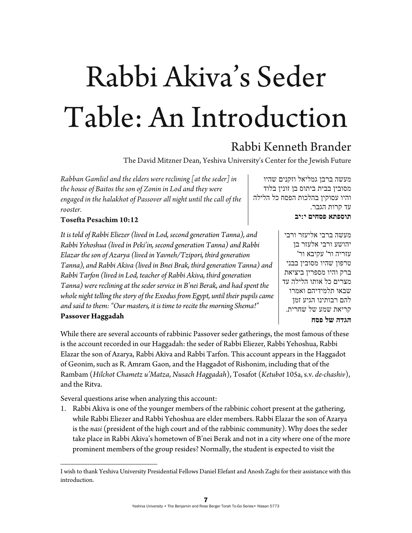# Rabbi Akiva's Seder Table: An Introduction1 Rabbi Kenneth Brander

מעשה ברבן גמליאל וזקנים שהיו מסובין בבית ביתוס בן זונין בלוד והיו עסוקין בהלכות הפסח כל הלילה

> עד קרות הגבר. **תוספתא פסחים י:יב**

> > **הגדה של פסח**

מעשה ברבי אליעזר ורבי יהושע ורבי אלעזר בן עזריה ור' עקיבא ור' טרפון שהיו מסובין בבני ברק והיו מספרין ביציאת מצרים כל אותו הלילה עד שבאו תלמידיהם ואמרו להם רבותינו הגיע זמן קריאת שמע של שחרית.

The David Mitzner Dean, Yeshiva University's Center for the Jewish Future

*Rabban Gamliel and the elders were reclining [at the seder] in the house of Baitos the son of Zonin in Lod and they were engaged in the halakhot of Passover all night until the call of the rooster.* 

### **Tosefta Pesachim 10:12**

*It is told of Rabbi Eliezer (lived in Lod, second generation Tanna), and Rabbi Yehoshua (lived in Peki'in, second generation Tanna) and Rabbi Elazar the son of Azarya (lived in Yavneh/Tzipori, third generation Tanna), and Rabbi Akiva (lived in Bnei Brak, third generation Tanna) and Rabbi Tarfon (lived in Lod, teacher of Rabbi Akiva, third generation Tanna) were reclining at the seder service in B'nei Berak, and had spent the whole night telling the story of the Exodus from Egypt, until their pupils came and said to them: "Our masters, it is time to recite the morning Shema!"*  **Passover Haggadah** 

While there are several accounts of rabbinic Passover seder gatherings, the most famous of these is the account recorded in our Haggadah: the seder of Rabbi Eliezer, Rabbi Yehoshua, Rabbi Elazar the son of Azarya, Rabbi Akiva and Rabbi Tarfon. This account appears in the Haggadot of Geonim, such as R. Amram Gaon, and the Haggadot of Rishonim, including that of the Rambam (*Hilchot Chametz u'Matza*, *Nusach Haggadah*), Tosafot (*Ketubot* 105a, s.v. *de-chashiv*), and the Ritva.

Several questions arise when analyzing this account:

1. Rabbi Akiva is one of the younger members of the rabbinic cohort present at the gathering, while Rabbi Eliezer and Rabbi Yehoshua are elder members. Rabbi Elazar the son of Azarya is the *nasi* (president of the high court and of the rabbinic community). Why does the seder take place in Rabbi Akiva's hometown of B'nei Berak and not in a city where one of the more prominent members of the group resides? Normally, the student is expected to visit the

I wish to thank Yeshiva University Presidential Fellows Daniel Elefant and Anosh Zaghi for their assistance with this introduction.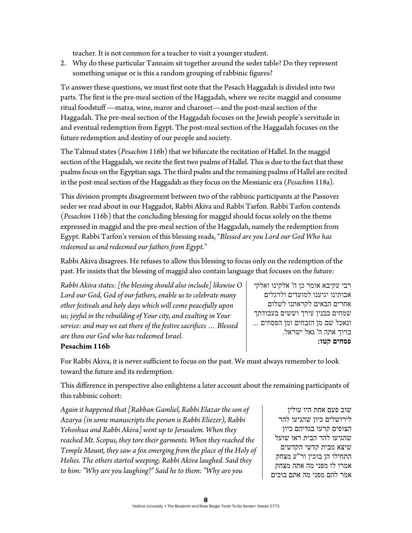teacher. It is not common for a teacher to visit a younger student.

2. Why do these particular Tannaim sit together around the seder table? Do they represent something unique or is this a random grouping of rabbinic figures?

To answer these questions, we must first note that the Pesach Haggadah is divided into two parts. The first is the pre-meal section of the Haggadah, where we recite maggid and consume ritual foodstuff —matza, wine, maror and charoset—and the post-meal section of the Haggadah. The pre-meal section of the Haggadah focuses on the Jewish people's servitude in and eventual redemption from Egypt. The post-meal section of the Haggadah focuses on the future redemption and destiny of our people and society.

The Talmud states (*Pesachim* 116b) that we bifurcate the recitation of Hallel. In the maggid section of the Haggadah, we recite the first two psalms of Hallel. This is due to the fact that these psalms focus on the Egyptian saga. The third psalm and the remaining psalms of Hallel are recited in the post-meal section of the Haggadah as they focus on the Messianic era (*Pesachim* 118a).

This division prompts disagreement between two of the rabbinic participants at the Passover seder we read about in our Haggadot, Rabbi Akiva and Rabbi Tarfon. Rabbi Tarfon contends (*Pesachim* 116b) that the concluding blessing for maggid should focus solely on the theme expressed in maggid and the pre-meal section of the Haggadah, namely the redemption from Egypt. Rabbi Tarfon's version of this blessing reads, "*Blessed are you Lord our God Who has redeemed us and redeemed our fathers from Egypt."*

Rabbi Akiva disagrees. He refuses to allow this blessing to focus only on the redemption of the past. He insists that the blessing of maggid also contain language that focuses on the future:

*Rabbi Akiva states: [the blessing should also include] likewise O Lord our God, God of our fathers, enable us to celebrate many other festivals and holy days which will come peacefully upon us; joyful in the rebuilding of Your city, and exalting in Your service: and may we eat there of the festive sacrifices … Blessed are thou our God who has redeemed Israel.* 

רבי עקיבא אומר כן ה' אלקינו ואלקי אבותינו יגיענו למועדים ולרגלים אחרים הבאים לקראתנו לשלום שמחים בבנין עירך וששים בעבודתך ונאכל שם מן הזבחים ומן הפסחים ... ברוך אתה ה' גאל ישראל. **פסחים קטז:** 

## **Pesachim 116b**

For Rabbi Akiva, it is never sufficient to focus on the past. We must always remember to look toward the future and its redemption.

This difference in perspective also enlightens a later account about the remaining participants of this rabbinic cohort:

*Again it happened that [Rabban Gamliel, Rabbi Elazar the son of Azarya (in some manuscripts the person is Rabbi Eliezer), Rabbi Yehoshua and Rabbi Akiva] went up to Jerusalem. When they reached Mt. Scopus, they tore their garments. When they reached the Temple Mount, they saw a fox emerging from the place of the Holy of Holies. The others started weeping; Rabbi Akiva laughed. Said they to him: "Why are you laughing?" Said he to them: "Why are you* 

שוב פעם אחת היו עולין לירושלים כיון שהגיעו להר הצופים קרעו בגדיהם כיון שהגיעו להר הבית ראו שועל שיצא מבית קדשי הקדשים התחילו הן בוכין ור"ע מצחק אמרו לו מפני מה אתה מצחק אמר להם מפני מה אתם בוכים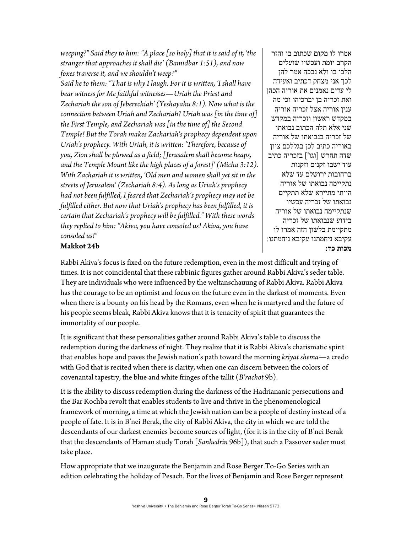*weeping?" Said they to him: "A place [so holy] that it is said of it, 'the stranger that approaches it shall die' (Bamidbar 1:51), and now foxes traverse it, and we shouldn't weep?"* 

*Said he to them: "That is why I laugh. For it is written, 'I shall have bear witness for Me faithful witnesses—Uriah the Priest and Zechariah the son of Jeberechiah' (Yeshayahu 8:1). Now what is the connection between Uriah and Zechariah? Uriah was [in the time of] the First Temple, and Zechariah was [in the time of] the Second Temple! But the Torah makes Zachariah's prophecy dependent upon Uriah's prophecy. With Uriah, it is written: 'Therefore, because of you, Zion shall be plowed as a field; [Jerusalem shall become heaps, and the Temple Mount like the high places of a forest]' (Micha 3:12). With Zachariah it is written, 'Old men and women shall yet sit in the streets of Jerusalem' (Zechariah 8:4). As long as Uriah's prophecy had not been fulfilled, I feared that Zechariah's prophecy may not be fulfilled either. But now that Uriah's prophecy has been fulfilled, it is certain that Zechariah's prophecy will be fulfilled." With these words they replied to him: "Akiva, you have consoled us! Akiva, you have consoled us!"* 

אמרו לו מקום שכתוב בו והזר הקרב יומת ועכשיו שועלים הלכו בו ולא נבכה אמר להן לכך אני מצחק דכתיב ואעידה לי עדים נאמנים את אוריה הכהן ואת זכריה בן יברכיהו וכי מה ענין אוריה אצל זכריה אוריה במקדש ראשון וזכריה במקדש שני אלא תלה הכתוב נבואתו של זכריה בנבואתו של אוריה באוריה כתיב לכן בגללכם ציון שדה תחרש [וגו'] בזכריה כתיב עוד ישבו זקנים וזקנות ברחובות ירושלם עד שלא נתקיימה נבואתו של אוריה הייתי מתיירא שלא תתקיים נבואתו של זכריה עכשיו שנתקיימה נבואתו של אוריה בידוע שנבואתו של זכריה מתקיימת בלשון הזה אמרו לו עקיבא ניחמתנו עקיבא ניחמתנו: **מכות כד:**

# **Makkot 24b**

Rabbi Akiva's focus is fixed on the future redemption, even in the most difficult and trying of times. It is not coincidental that these rabbinic figures gather around Rabbi Akiva's seder table. They are individuals who were influenced by the weltanschauung of Rabbi Akiva. Rabbi Akiva has the courage to be an optimist and focus on the future even in the darkest of moments. Even when there is a bounty on his head by the Romans, even when he is martyred and the future of his people seems bleak, Rabbi Akiva knows that it is tenacity of spirit that guarantees the immortality of our people.

It is significant that these personalities gather around Rabbi Akiva's table to discuss the redemption during the darkness of night. They realize that it is Rabbi Akiva's charismatic spirit that enables hope and paves the Jewish nation's path toward the morning *kriyat shema*—a credo with God that is recited when there is clarity, when one can discern between the colors of covenantal tapestry, the blue and white fringes of the tallit (*B'rachot* 9b).

It is the ability to discuss redemption during the darkness of the Hadriananic persecutions and the Bar Kochba revolt that enables students to live and thrive in the phenomenological framework of morning, a time at which the Jewish nation can be a people of destiny instead of a people of fate. It is in B'nei Berak, the city of Rabbi Akiva, the city in which we are told the descendants of our darkest enemies become sources of light, (for it is in the city of B'nei Berak that the descendants of Haman study Torah [*Sanhedrin* 96b]), that such a Passover seder must take place.

How appropriate that we inaugurate the Benjamin and Rose Berger To-Go Series with an edition celebrating the holiday of Pesach. For the lives of Benjamin and Rose Berger represent